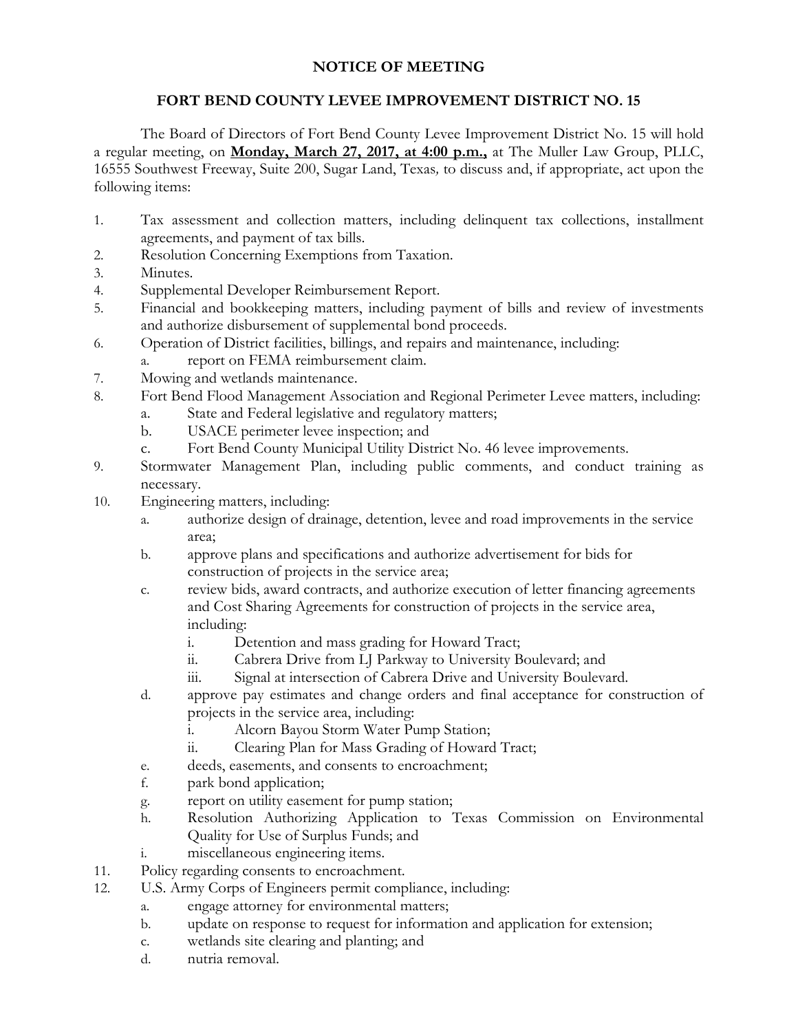## **NOTICE OF MEETING**

## **FORT BEND COUNTY LEVEE IMPROVEMENT DISTRICT NO. 15**

The Board of Directors of Fort Bend County Levee Improvement District No. 15 will hold a regular meeting, on **Monday, March 27, 2017, at 4:00 p.m.,** at The Muller Law Group, PLLC, 16555 Southwest Freeway, Suite 200, Sugar Land, Texas*,* to discuss and, if appropriate, act upon the following items:

- 1. Tax assessment and collection matters, including delinquent tax collections, installment agreements, and payment of tax bills.
- 2. Resolution Concerning Exemptions from Taxation.
- 3. Minutes.
- 4. Supplemental Developer Reimbursement Report.
- 5. Financial and bookkeeping matters, including payment of bills and review of investments and authorize disbursement of supplemental bond proceeds.
- 6. Operation of District facilities, billings, and repairs and maintenance, including: a. report on FEMA reimbursement claim.
- 7. Mowing and wetlands maintenance.
- 8. Fort Bend Flood Management Association and Regional Perimeter Levee matters, including:
	- a. State and Federal legislative and regulatory matters;
	- b. USACE perimeter levee inspection; and
	- c. Fort Bend County Municipal Utility District No. 46 levee improvements.
- 9. Stormwater Management Plan, including public comments, and conduct training as necessary.
- 10. Engineering matters, including:
	- a. authorize design of drainage, detention, levee and road improvements in the service area;
	- b. approve plans and specifications and authorize advertisement for bids for construction of projects in the service area;
	- c. review bids, award contracts, and authorize execution of letter financing agreements and Cost Sharing Agreements for construction of projects in the service area, including:
		- i. Detention and mass grading for Howard Tract;
		- ii. Cabrera Drive from LJ Parkway to University Boulevard; and
		- iii. Signal at intersection of Cabrera Drive and University Boulevard.
	- d. approve pay estimates and change orders and final acceptance for construction of projects in the service area, including:
		- i. Alcorn Bayou Storm Water Pump Station;
		- ii. Clearing Plan for Mass Grading of Howard Tract;
	- e. deeds, easements, and consents to encroachment;
	- f. park bond application;
	- g. report on utility easement for pump station;
	- h. Resolution Authorizing Application to Texas Commission on Environmental Quality for Use of Surplus Funds; and
	- i. miscellaneous engineering items.
- 11. Policy regarding consents to encroachment.
- 12. U.S. Army Corps of Engineers permit compliance, including:
	- a. engage attorney for environmental matters;
	- b. update on response to request for information and application for extension;
	- c. wetlands site clearing and planting; and
	- d. nutria removal.